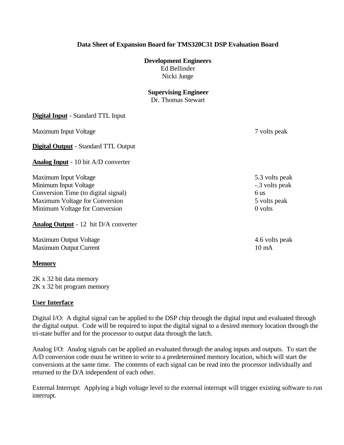## **Data Sheet of Expansion Board for TMS320C31 DSP Evaluation Board**

## **Development Engineers**

Ed Bellinder Nicki Junge

## **Supervising Engineer**

Dr. Thomas Stewart

| <b>Digital Input</b> - Standard TTL Input   |                 |
|---------------------------------------------|-----------------|
| Maximum Input Voltage                       | 7 volts peak    |
| <b>Digital Output</b> - Standard TTL Output |                 |
| <b>Analog Input</b> - 10 bit A/D converter  |                 |
| Maximum Input Voltage                       | 5.3 volts peak  |
| Minimum Input Voltage                       | -.3 volts peak  |
| Conversion Time (to digital signal)         | 6 us            |
| Maximum Voltage for Conversion              | 5 volts peak    |
| Minimum Voltage for Conversion              | 0 volts         |
| <b>Analog Output</b> - 12 bit D/A converter |                 |
| Maximum Output Voltage                      | 4.6 volts peak  |
| <b>Maximum Output Current</b>               | $10 \text{ mA}$ |
| <b>Memory</b>                               |                 |

2K x 32 bit data memory 2K x 32 bit program memory

## **User Interface**

Digital I/O: A digital signal can be applied to the DSP chip through the digital input and evaluated through the digital output. Code will be required to input the digital signal to a desired memory location through the tri-state buffer and for the processor to output data through the latch.

Analog I/O: Analog signals can be applied an evaluated through the analog inputs and outputs. To start the A/D conversion code must be written to write to a predetermined memory location, which will start the conversions at the same time. The contents of each signal can be read into the processor individually and returned to the D/A independent of each other.

External Interrupt: Applying a high voltage level to the external interrupt will trigger existing software to run interrupt.